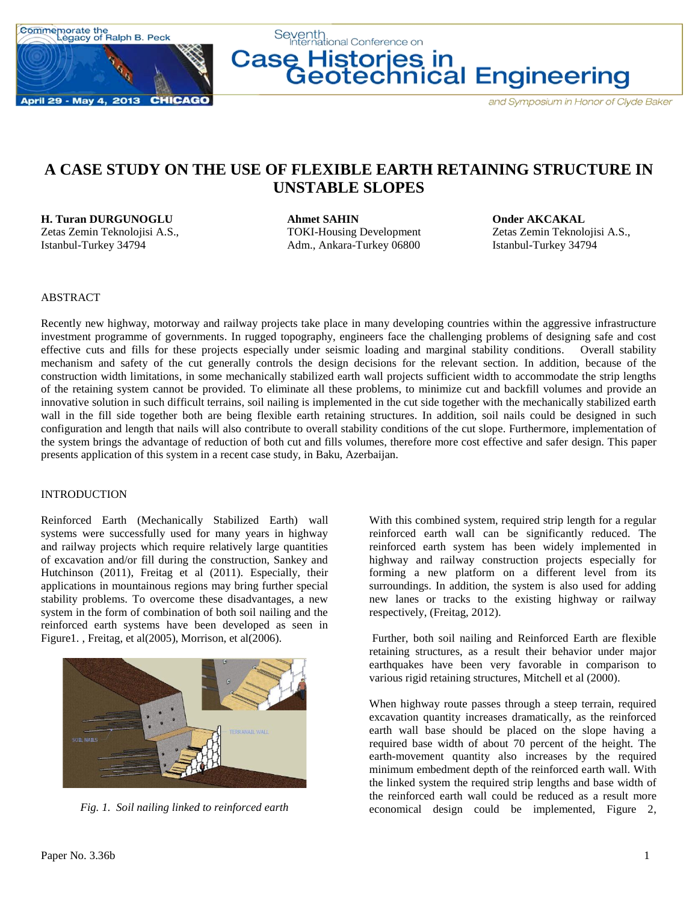

Seventh<br>International Conference on **Case Histories in<br>Geotechnical Engineering** 

# **A CASE STUDY ON THE USE OF FLEXIBLE EARTH RETAINING STRUCTURE IN UNSTABLE SLOPES**

**H. Turan DURGUNOGLU Ahmet SAHIN Onder AKCAKAL** Zetas Zemin Teknolojisi A.S., TOKI-Housing Development Zetas Zemin Teknolojisi A.S., Istanbul-Turkey 34794 Adm., Ankara-Turkey 06800 Istanbul-Turkey 34794

### ABSTRACT

Recently new highway, motorway and railway projects take place in many developing countries within the aggressive infrastructure investment programme of governments. In rugged topography, engineers face the challenging problems of designing safe and cost effective cuts and fills for these projects especially under seismic loading and marginal stability conditions. Overall stability mechanism and safety of the cut generally controls the design decisions for the relevant section. In addition, because of the construction width limitations, in some mechanically stabilized earth wall projects sufficient width to accommodate the strip lengths of the retaining system cannot be provided. To eliminate all these problems, to minimize cut and backfill volumes and provide an innovative solution in such difficult terrains, soil nailing is implemented in the cut side together with the mechanically stabilized earth wall in the fill side together both are being flexible earth retaining structures. In addition, soil nails could be designed in such configuration and length that nails will also contribute to overall stability conditions of the cut slope. Furthermore, implementation of the system brings the advantage of reduction of both cut and fills volumes, therefore more cost effective and safer design. This paper presents application of this system in a recent case study, in Baku, Azerbaijan.

#### INTRODUCTION

Reinforced Earth (Mechanically Stabilized Earth) wall systems were successfully used for many years in highway and railway projects which require relatively large quantities of excavation and/or fill during the construction, Sankey and Hutchinson (2011), Freitag et al (2011). Especially, their applications in mountainous regions may bring further special stability problems. To overcome these disadvantages, a new system in the form of combination of both soil nailing and the reinforced earth systems have been developed as seen in Figure1. , Freitag, et al(2005), Morrison, et al(2006).



*Fig. 1. Soil nailing linked to reinforced earth*

With this combined system, required strip length for a regular reinforced earth wall can be significantly reduced. The reinforced earth system has been widely implemented in highway and railway construction projects especially for forming a new platform on a different level from its surroundings. In addition, the system is also used for adding new lanes or tracks to the existing highway or railway respectively, (Freitag, 2012).

Further, both soil nailing and Reinforced Earth are flexible retaining structures, as a result their behavior under major earthquakes have been very favorable in comparison to various rigid retaining structures, Mitchell et al (2000).

When highway route passes through a steep terrain, required excavation quantity increases dramatically, as the reinforced earth wall base should be placed on the slope having a required base width of about 70 percent of the height. The earth-movement quantity also increases by the required minimum embedment depth of the reinforced earth wall. With the linked system the required strip lengths and base width of the reinforced earth wall could be reduced as a result more economical design could be implemented, Figure 2,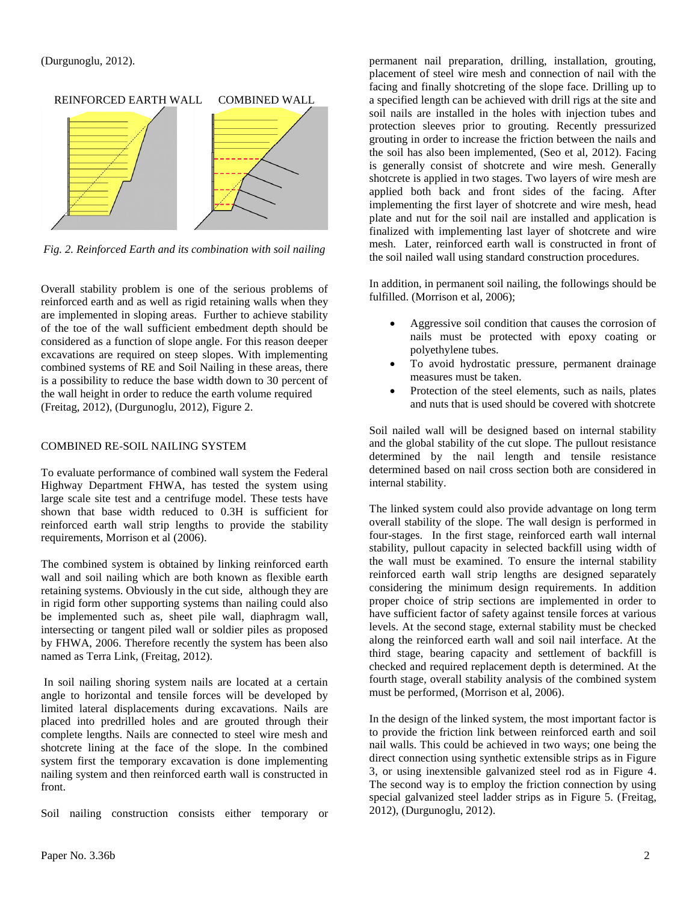

Fig. 2. Reinforced Earth and its combination with soil nailing

Overall stability problem is one of the serious problems of reinforced earth and as well as rigid retaining walls when they are implemented in sloping areas. Further to achieve stability of the toe of the wall sufficient embedment depth should be considered as a function of slope angle. For this reason deeper excavations are required on steep slopes. With implementing combined systems of RE and Soil Nailing in these areas, there is a possibility to reduce the base width down to 30 percent of the wall height in order to reduce the earth volume required (Freitag, 2012), (Durgunoglu, 2012), Figure 2.

## COMBINED RE-SOIL NAILING SYSTEM

To evaluate performance of combined wall system the Federal Highway Department FHWA, has tested the system using large scale site test and a centrifuge model. These tests have shown that base width reduced to 0.3H is sufficient for reinforced earth wall strip lengths to provide the stability requirements, Morrison et al (2006).

The combined system is obtained by linking reinforced earth wall and soil nailing which are both known as flexible earth retaining systems. Obviously in the cut side, although they are in rigid form other supporting systems than nailing could also be implemented such as, sheet pile wall, diaphragm wall, intersecting or tangent piled wall or soldier piles as proposed by FHWA, 2006. Therefore recently the system has been also named as Terra Link, (Freitag, 2012).

In soil nailing shoring system nails are located at a certain angle to horizontal and tensile forces will be developed by limited lateral displacements during excavations. Nails are placed into predrilled holes and are grouted through their complete lengths. Nails are connected to steel wire mesh and shotcrete lining at the face of the slope. In the combined system first the temporary excavation is done implementing nailing system and then reinforced earth wall is constructed in front.

Soil nailing construction consists either temporary or

permanent nail preparation, drilling, installation, grouting, placement of steel wire mesh and connection of nail with the facing and finally shotcreting of the slope face. Drilling up to a specified length can be achieved with drill rigs at the site and soil nails are installed in the holes with injection tubes and protection sleeves prior to grouting. Recently pressurized grouting in order to increase the friction between the nails and the soil has also been implemented, (Seo et al, 2012). Facing is generally consist of shotcrete and wire mesh. Generally shotcrete is applied in two stages. Two layers of wire mesh are applied both back and front sides of the facing. After implementing the first layer of shotcrete and wire mesh, head plate and nut for the soil nail are installed and application is finalized with implementing last layer of shotcrete and wire mesh. Later, reinforced earth wall is constructed in front of the soil nailed wall using standard construction procedures.

In addition, in permanent soil nailing, the followings should be fulfilled. (Morrison et al, 2006);

- Aggressive soil condition that causes the corrosion of nails must be protected with epoxy coating or polyethylene tubes.
- To avoid hydrostatic pressure, permanent drainage measures must be taken.
- Protection of the steel elements, such as nails, plates and nuts that is used should be covered with shotcrete

Soil nailed wall will be designed based on internal stability and the global stability of the cut slope. The pullout resistance determined by the nail length and tensile resistance determined based on nail cross section both are considered in internal stability.

The linked system could also provide advantage on long term overall stability of the slope. The wall design is performed in four-stages. In the first stage, reinforced earth wall internal stability, pullout capacity in selected backfill using width of the wall must be examined. To ensure the internal stability reinforced earth wall strip lengths are designed separately considering the minimum design requirements. In addition proper choice of strip sections are implemented in order to have sufficient factor of safety against tensile forces at various levels. At the second stage, external stability must be checked along the reinforced earth wall and soil nail interface. At the third stage, bearing capacity and settlement of backfill is checked and required replacement depth is determined. At the fourth stage, overall stability analysis of the combined system must be performed, (Morrison et al, 2006).

In the design of the linked system, the most important factor is to provide the friction link between reinforced earth and soil nail walls. This could be achieved in two ways; one being the direct connection using synthetic extensible strips as in Figure 3, or using inextensible galvanized steel rod as in Figure 4. The second way is to employ the friction connection by using special galvanized steel ladder strips as in Figure 5. (Freitag, 2012), (Durgunoglu, 2012).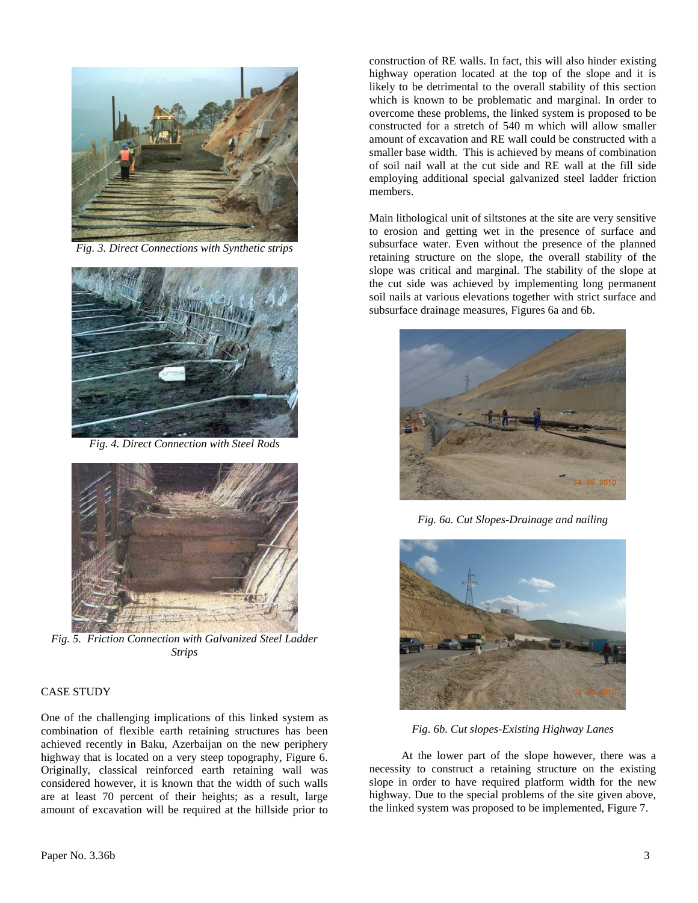

 $Fig. 3. Direct$  Connections with Synthetic strips



Fig. 4. Direct Connection with Steel Rods



*In**Strips Fig. 5. Friction Connection with Galvanized Steel Ladder* 

#### CASE STUDY

One of the challenging implications of this linked system as combination of flexible earth retaining structures has been achieved recently in Baku, Azerbaijan on the new periphery highway that is located on a very steep topography, Figure 6. Originally, classical reinforced earth retaining wall was considered however, it is known that the width of such walls are at least 70 percent of their heights; as a result, large amount of excavation will be required at the hillside prior to

**®** System (Cont'd) construction of RE walls. In fact, this will also hinder existing highway operation located at the top of the slope and it is likely to be detrimental to the overall stability of this section which is known to be problematic and marginal. In order to overcome these problems, the linked system is proposed to be constructed for a stretch of 540 m which will allow smaller amount of excavation and RE wall could be constructed with a smaller base width. This is achieved by means of combination of soil nail wall at the cut side and RE wall at the fill side employing additional special galvanized steel ladder friction members.

> the cut side was achieved by implementing long permanent Main lithological unit of siltstones at the site are very sensitive to erosion and getting wet in the presence of surface and subsurface water. Even without the presence of the planned retaining structure on the slope, the overall stability of the slope was critical and marginal. The stability of the slope at soil nails at various elevations together with strict surface and subsurface drainage measures, Figures 6a and 6b.



 $r_l$ *Fig. 6a. Cut Slopes-Drainage and nailing*



*Fig. 6b. Cut slopes-Existing Highway Lanes* 

At the lower part of the slope however, there was a necessity to construct a retaining structure on the existing slope in order to have required platform width for the new highway. Due to the special problems of the site given above, the linked system was proposed to be implemented, Figure 7.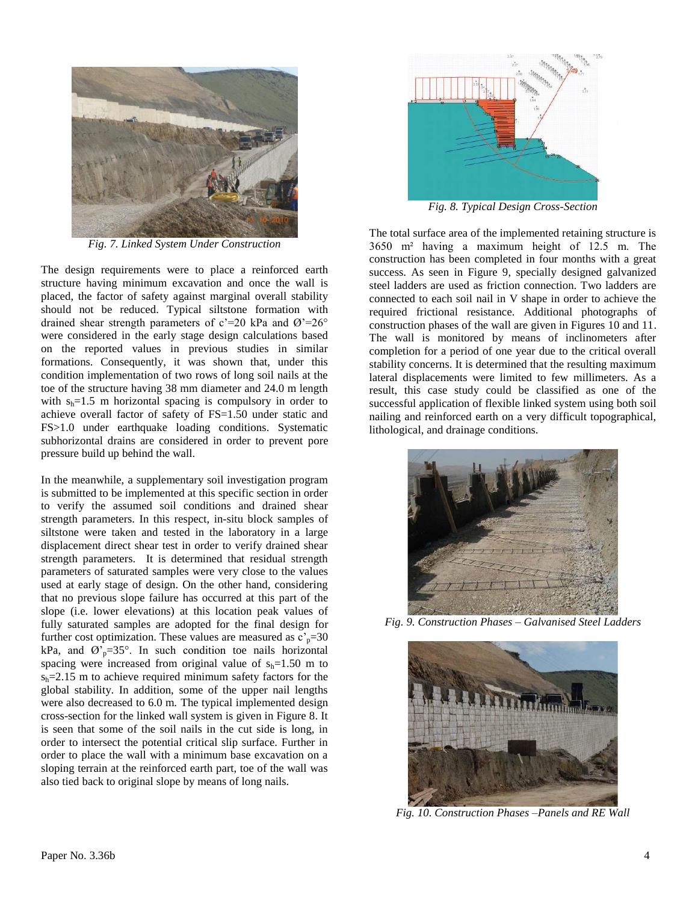

*Fig. 7. Linked System Under Construction*

The design requirements were to place a reinforced earth structure having minimum excavation and once the wall is placed, the factor of safety against marginal overall stability should not be reduced. Typical siltstone formation with drained shear strength parameters of  $c'=20$  kPa and  $\varnothing'=26^\circ$ were considered in the early stage design calculations based on the reported values in previous studies in similar formations. Consequently, it was shown that, under this condition implementation of two rows of long soil nails at the toe of the structure having 38 mm diameter and 24.0 m length with  $s_h=1.5$  m horizontal spacing is compulsory in order to achieve overall factor of safety of FS=1.50 under static and FS>1.0 under earthquake loading conditions. Systematic subhorizontal drains are considered in order to prevent pore pressure build up behind the wall. Pertinent Data:

In the meanwhile, a supplementary soil investigation program is submitted to be implemented at this specific section in order to verify the assumed soil conditions and drained shear strength parameters. In this respect, in-situ block samples of siltstone were taken and tested in the laboratory in a large displacement direct shear test in order to verify drained shear strength parameters. It is determined that residual strength parameters of saturated samples were very close to the values used at early stage of design. On the other hand, considering that no previous slope failure has occurred at this part of the slope (i.e. lower elevations) at this location peak values of fully saturated samples are adopted for the final design for further cost optimization. These values are measured as  $c_p^{\text{th}}=30$ kPa, and  $\varnothing$ <sup>2</sup><sub>p</sub>=35°. In such condition toe nails horizontal spacing were increased from original value of  $s_h=1.50$  m to  $s_h = 2.15$  m to achieve required minimum safety factors for the global stability. In addition, some of the upper nail lengths were also decreased to 6.0 m. The typical implemented design cross-section for the linked wall system is given in Figure 8. It is seen that some of the soil nails in the cut side is long, in order to intersect the potential critical slip surface. Further in order to place the wall with a minimum base excavation on a sloping terrain at the reinforced earth part, toe of the wall was also tied back to original slope by means of long nails. ogram: 4 months



*Fig. 8. Typical Design Cross-Section*

35 3650 m² having a maximum height of 12.5 m. The The total surface area of the implemented retaining structure is construction has been completed in four months with a great success. As seen in Figure 9, specially designed galvanized steel ladders are used as friction connection. Two ladders are connected to each soil nail in V shape in order to achieve the required frictional resistance. Additional photographs of construction phases of the wall are given in Figures 10 and 11. The wall is monitored by means of inclinometers after completion for a period of one year due to the critical overall stability concerns. It is determined that the resulting maximum lateral displacements were limited to few millimeters. As a result, this case study could be classified as one of the successful application of flexible linked system using both soil **TerraNail Applications by Reinforced Earth A.S. Turkey** nailing and reinforced earth on a very difficult topographical, vstematic lithological, and drainage conditions.



**n** for Fig. 9. Construction Phases – Galvanised Steel Ladders



*Fig. 10. Construction Phases –Panels and RE Wall*